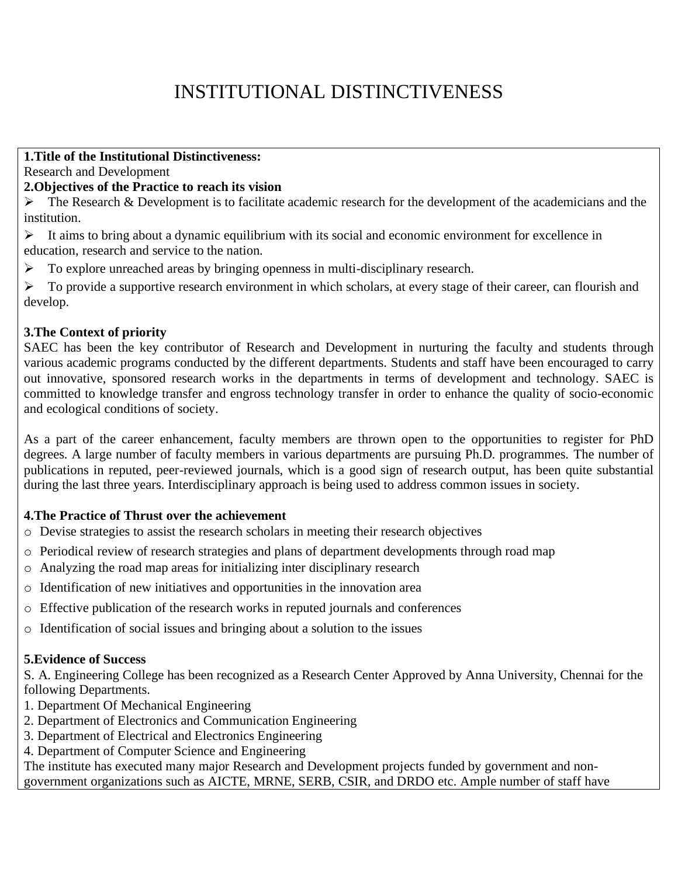# INSTITUTIONAL DISTINCTIVENESS

#### **1.Title of the Institutional Distinctiveness:**

Research and Development

#### **2.Objectives of the Practice to reach its vision**

 $\triangleright$  The Research & Development is to facilitate academic research for the development of the academicians and the institution.

- ➢ It aims to bring about a dynamic equilibrium with its social and economic environment for excellence in education, research and service to the nation.
- ➢ To explore unreached areas by bringing openness in multi-disciplinary research.

➢ To provide a supportive research environment in which scholars, at every stage of their career, can flourish and develop.

## **3.The Context of priority**

SAEC has been the key contributor of Research and Development in nurturing the faculty and students through various academic programs conducted by the different departments. Students and staff have been encouraged to carry out innovative, sponsored research works in the departments in terms of development and technology. SAEC is committed to knowledge transfer and engross technology transfer in order to enhance the quality of socio-economic and ecological conditions of society.

As a part of the career enhancement, faculty members are thrown open to the opportunities to register for PhD degrees. A large number of faculty members in various departments are pursuing Ph.D. programmes. The number of publications in reputed, peer-reviewed journals, which is a good sign of research output, has been quite substantial during the last three years. Interdisciplinary approach is being used to address common issues in society.

## **4.The Practice of Thrust over the achievement**

- o Devise strategies to assist the research scholars in meeting their research objectives
- o Periodical review of research strategies and plans of department developments through road map
- o Analyzing the road map areas for initializing inter disciplinary research
- o Identification of new initiatives and opportunities in the innovation area
- o Effective publication of the research works in reputed journals and conferences
- o Identification of social issues and bringing about a solution to the issues

## **5.Evidence of Success**

S. A. Engineering College has been recognized as a Research Center Approved by Anna University, Chennai for the following Departments.

- 1. Department Of Mechanical Engineering
- 2. Department of Electronics and Communication Engineering
- 3. Department of Electrical and Electronics Engineering
- 4. Department of Computer Science and Engineering

The institute has executed many major Research and Development projects funded by government and nongovernment organizations such as AICTE, MRNE, SERB, CSIR, and DRDO etc. Ample number of staff have